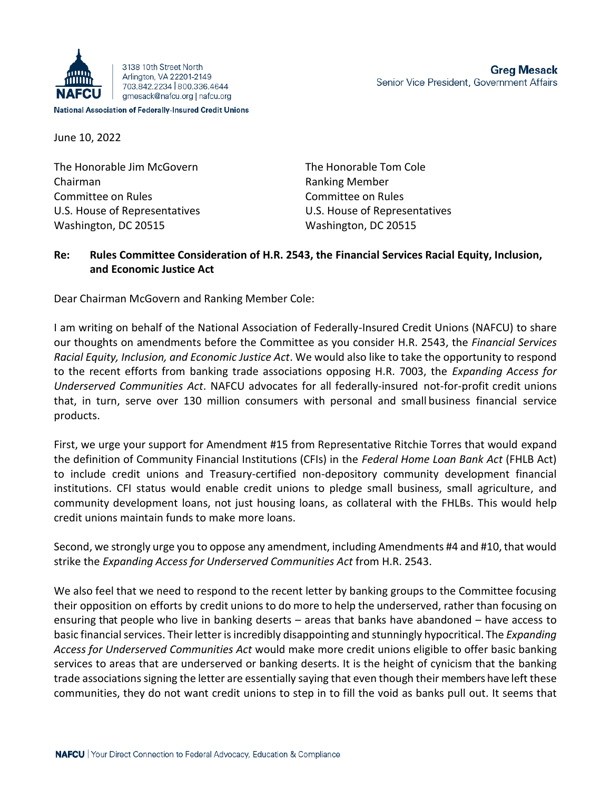

The Honorable Jim McGovern The Honorable Tom Cole Chairman **Ranking Member** Ranking Member Committee on Rules Committee on Rules U.S. House of Representatives U.S. House of Representatives Washington, DC 20515 Washington, DC 20515

**Greg Mesack** Senior Vice President, Government Affairs

## **Re: Rules Committee Consideration of H.R. 2543, the Financial Services Racial Equity, Inclusion, and Economic Justice Act**

Dear Chairman McGovern and Ranking Member Cole:

I am writing on behalf of the National Association of Federally-Insured Credit Unions (NAFCU) to share our thoughts on amendments before the Committee as you consider H.R. 2543, the *Financial Services Racial Equity, Inclusion, and Economic Justice Act*. We would also like to take the opportunity to respond to the recent efforts from banking trade associations opposing H.R. 7003, the *Expanding Access for Underserved Communities Act*. NAFCU advocates for all federally-insured not-for-profit credit unions that, in turn, serve over 130 million consumers with personal and small business financial service products.

First, we urge your support for Amendment #15 from Representative Ritchie Torres that would expand the definition of Community Financial Institutions (CFIs) in the *Federal Home Loan Bank Act* (FHLB Act) to include credit unions and Treasury-certified non-depository community development financial institutions. CFI status would enable credit unions to pledge small business, small agriculture, and community development loans, not just housing loans, as collateral with the FHLBs. This would help credit unions maintain funds to make more loans.

Second, we strongly urge you to oppose any amendment, including Amendments #4 and #10, that would strike the *Expanding Access for Underserved Communities Act* from H.R. 2543.

We also feel that we need to respond to the recent letter by banking groups to the Committee focusing their opposition on efforts by credit unions to do more to help the underserved, rather than focusing on ensuring that people who live in banking deserts – areas that banks have abandoned – have access to basic financial services. Their letter isincredibly disappointing and stunningly hypocritical. The *Expanding Access for Underserved Communities Act* would make more credit unions eligible to offer basic banking services to areas that are underserved or banking deserts. It is the height of cynicism that the banking trade associations signing the letter are essentially saying that even though their members have left these communities, they do not want credit unions to step in to fill the void as banks pull out. It seems that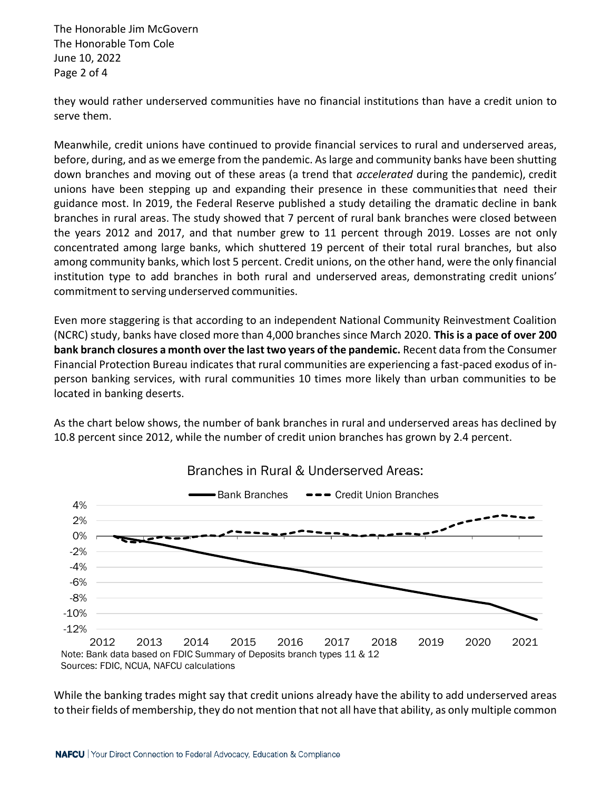The Honorable Jim McGovern The Honorable Tom Cole June 10, 2022 Page 2 of 4

they would rather underserved communities have no financial institutions than have a credit union to serve them.

Meanwhile, credit unions have continued to provide financial services to rural and underserved areas, before, during, and as we emerge from the pandemic. As large and community banks have been shutting down branches and moving out of these areas (a trend that *accelerated* during the pandemic), credit unions have been stepping up and expanding their presence in these communitiesthat need their guidance most. In 2019, the Federal Reserve published a study detailing the dramatic decline in bank branches in rural areas. The study showed that 7 percent of rural bank branches were closed between the years 2012 and 2017, and that number grew to 11 percent through 2019. Losses are not only concentrated among large banks, which shuttered 19 percent of their total rural branches, but also among community banks, which lost 5 percent. Credit unions, on the other hand, were the only financial institution type to add branches in both rural and underserved areas, demonstrating credit unions' commitment to serving underserved communities.

Even more staggering is that according to an independent National Community Reinvestment Coalition (NCRC) study, banks have closed more than 4,000 branches since March 2020. **This is a pace of over 200 bank branch closures a month over the last two years of the pandemic.** Recent data from the Consumer Financial Protection Bureau indicates that rural communities are experiencing a fast-paced exodus of inperson banking services, with rural communities 10 times more likely than urban communities to be located in banking deserts.

As the chart below shows, the number of bank branches in rural and underserved areas has declined by 10.8 percent since 2012, while the number of credit union branches has grown by 2.4 percent.



While the banking trades might say that credit unions already have the ability to add underserved areas to their fields of membership, they do not mention that not all have that ability, as only multiple common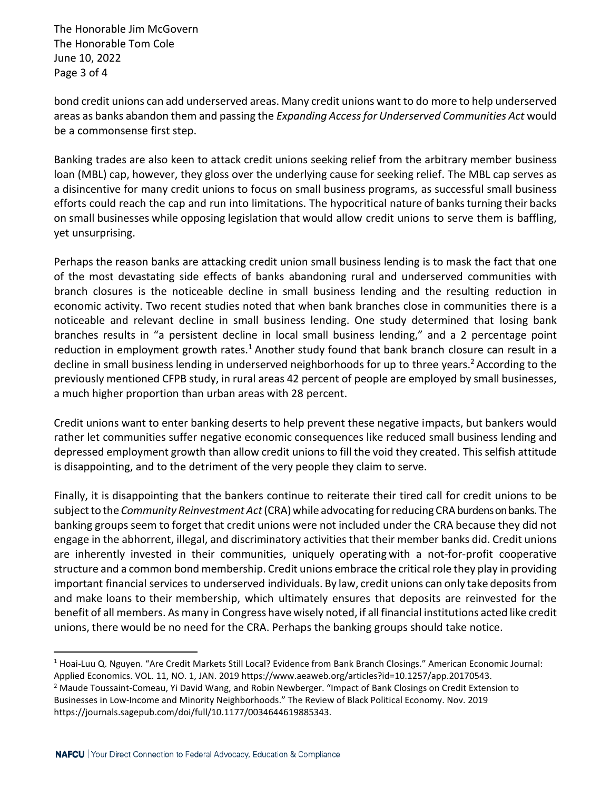The Honorable Jim McGovern The Honorable Tom Cole June 10, 2022 Page 3 of 4

bond credit unions can add underserved areas. Many credit unions want to do more to help underserved areas as banks abandon them and passing the *Expanding Accessfor Underserved Communities Act* would be a commonsense first step.

Banking trades are also keen to attack credit unions seeking relief from the arbitrary member business loan (MBL) cap, however, they gloss over the underlying cause for seeking relief. The MBL cap serves as a disincentive for many credit unions to focus on small business programs, as successful small business efforts could reach the cap and run into limitations. The hypocritical nature of banks turning their backs on small businesses while opposing legislation that would allow credit unions to serve them is baffling, yet unsurprising.

Perhaps the reason banks are attacking credit union small business lending is to mask the fact that one of the most devastating side effects of banks abandoning rural and underserved communities with branch closures is the noticeable decline in small business lending and the resulting reduction in economic activity. Two recent studies noted that when bank branches close in communities there is a noticeable and relevant decline in small business lending. One study determined that losing bank branches results in "a persistent decline in local small business lending," and a 2 percentage point reduction in employment growth rates.<sup>1</sup> Another study found that bank branch closure can result in a decline in small business lending in underserved neighborhoods for up to three years.<sup>2</sup> According to the previously mentioned CFPB study, in rural areas 42 percent of people are employed by small businesses, a much higher proportion than urban areas with 28 percent.

Credit unions want to enter banking deserts to help prevent these negative impacts, but bankers would rather let communities suffer negative economic consequences like reduced small business lending and depressed employment growth than allow credit unions to fill the void they created. Thisselfish attitude is disappointing, and to the detriment of the very people they claim to serve.

Finally, it is disappointing that the bankers continue to reiterate their tired call for credit unions to be subjectto the *Community Reinvestment Act*(CRA)while advocating forreducing CRAburdens on banks. The banking groups seem to forget that credit unions were not included under the CRA because they did not engage in the abhorrent, illegal, and discriminatory activities that their member banks did. Credit unions are inherently invested in their communities, uniquely operating with a not-for-profit cooperative structure and a common bond membership. Credit unions embrace the critical role they play in providing important financial services to underserved individuals. By law, credit unions can only take depositsfrom and make loans to their membership, which ultimately ensures that deposits are reinvested for the benefit of all members. As many in Congress have wisely noted, if all financial institutions acted like credit unions, there would be no need for the CRA. Perhaps the banking groups should take notice.

<sup>1</sup> Hoai-Luu Q. Nguyen. "Are Credit Markets Still Local? Evidence from Bank Branch Closings." American Economic Journal:

Applied Economics. VOL. 11, NO. 1, JAN. 2019 https://www.aeaweb.org/articles?id=10.1257/app.20170543.

<sup>&</sup>lt;sup>2</sup> Maude Toussaint-Comeau, Yi David Wang, and Robin Newberger. "Impact of Bank Closings on Credit Extension to Businesses in Low-Income and Minority Neighborhoods." The Review of Black Political Economy. Nov. 2019 https://journals.sagepub.com/doi/full/10.1177/0034644619885343.